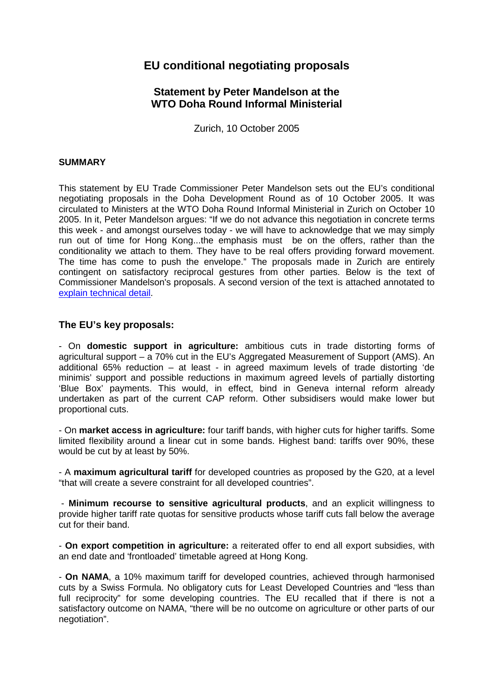# **EU conditional negotiating proposals**

# **Statement by Peter Mandelson at the WTO Doha Round Informal Ministerial**

Zurich, 10 October 2005

### **SUMMARY**

This statement by EU Trade Commissioner Peter Mandelson sets out the EU's conditional negotiating proposals in the Doha Development Round as of 10 October 2005. It was circulated to Ministers at the WTO Doha Round Informal Ministerial in Zurich on October 10 2005. In it, Peter Mandelson argues: "If we do not advance this negotiation in concrete terms this week - and amongst ourselves today - we will have to acknowledge that we may simply run out of time for Hong Kong...the emphasis must be on the offers, rather than the conditionality we attach to them. They have to be real offers providing forward movement. The time has come to push the envelope." The proposals made in Zurich are entirely contingent on satisfactory reciprocal gestures from other parties. Below is the text of Commissioner Mandelson's proposals. A second version of the text is attached annotated to explain technical detail.

# **The EU's key proposals:**

- On **domestic support in agriculture:** ambitious cuts in trade distorting forms of agricultural support – a 70% cut in the EU's Aggregated Measurement of Support (AMS). An additional 65% reduction – at least - in agreed maximum levels of trade distorting 'de minimis' support and possible reductions in maximum agreed levels of partially distorting 'Blue Box' payments. This would, in effect, bind in Geneva internal reform already undertaken as part of the current CAP reform. Other subsidisers would make lower but proportional cuts.

- On **market access in agriculture:** four tariff bands, with higher cuts for higher tariffs. Some limited flexibility around a linear cut in some bands. Highest band: tariffs over 90%, these would be cut by at least by 50%.

- A **maximum agricultural tariff** for developed countries as proposed by the G20, at a level "that will create a severe constraint for all developed countries".

 - **Minimum recourse to sensitive agricultural products**, and an explicit willingness to provide higher tariff rate quotas for sensitive products whose tariff cuts fall below the average cut for their band.

- **On export competition in agriculture:** a reiterated offer to end all export subsidies, with an end date and 'frontloaded' timetable agreed at Hong Kong.

- **On NAMA**, a 10% maximum tariff for developed countries, achieved through harmonised cuts by a Swiss Formula. No obligatory cuts for Least Developed Countries and "less than full reciprocity" for some developing countries. The EU recalled that if there is not a satisfactory outcome on NAMA, "there will be no outcome on agriculture or other parts of our negotiation".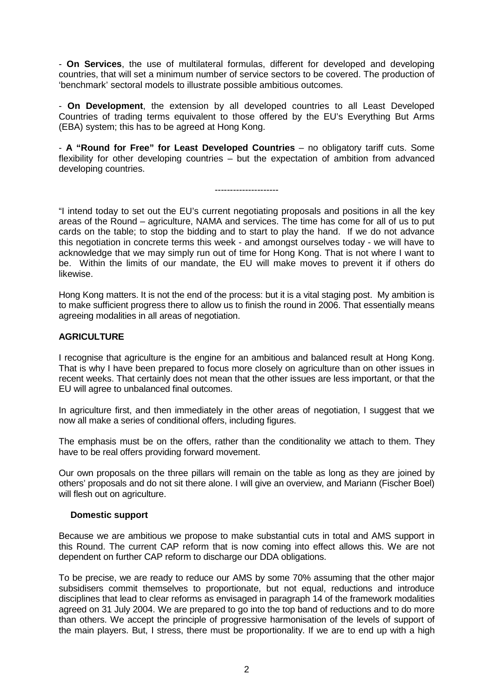- **On Services**, the use of multilateral formulas, different for developed and developing countries, that will set a minimum number of service sectors to be covered. The production of 'benchmark' sectoral models to illustrate possible ambitious outcomes.

- **On Development**, the extension by all developed countries to all Least Developed Countries of trading terms equivalent to those offered by the EU's Everything But Arms (EBA) system; this has to be agreed at Hong Kong.

- **A "Round for Free" for Least Developed Countries** – no obligatory tariff cuts. Some flexibility for other developing countries – but the expectation of ambition from advanced developing countries.

---------------------

"I intend today to set out the EU's current negotiating proposals and positions in all the key areas of the Round – agriculture, NAMA and services. The time has come for all of us to put cards on the table; to stop the bidding and to start to play the hand. If we do not advance this negotiation in concrete terms this week - and amongst ourselves today - we will have to acknowledge that we may simply run out of time for Hong Kong. That is not where I want to be. Within the limits of our mandate, the EU will make moves to prevent it if others do likewise.

Hong Kong matters. It is not the end of the process: but it is a vital staging post. My ambition is to make sufficient progress there to allow us to finish the round in 2006. That essentially means agreeing modalities in all areas of negotiation.

# **AGRICULTURE**

I recognise that agriculture is the engine for an ambitious and balanced result at Hong Kong. That is why I have been prepared to focus more closely on agriculture than on other issues in recent weeks. That certainly does not mean that the other issues are less important, or that the EU will agree to unbalanced final outcomes.

In agriculture first, and then immediately in the other areas of negotiation, I suggest that we now all make a series of conditional offers, including figures.

The emphasis must be on the offers, rather than the conditionality we attach to them. They have to be real offers providing forward movement.

Our own proposals on the three pillars will remain on the table as long as they are joined by others' proposals and do not sit there alone. I will give an overview, and Mariann (Fischer Boel) will flesh out on agriculture.

# **Domestic support**

Because we are ambitious we propose to make substantial cuts in total and AMS support in this Round. The current CAP reform that is now coming into effect allows this. We are not dependent on further CAP reform to discharge our DDA obligations.

To be precise, we are ready to reduce our AMS by some 70% assuming that the other major subsidisers commit themselves to proportionate, but not equal, reductions and introduce disciplines that lead to clear reforms as envisaged in paragraph 14 of the framework modalities agreed on 31 July 2004. We are prepared to go into the top band of reductions and to do more than others. We accept the principle of progressive harmonisation of the levels of support of the main players. But, I stress, there must be proportionality. If we are to end up with a high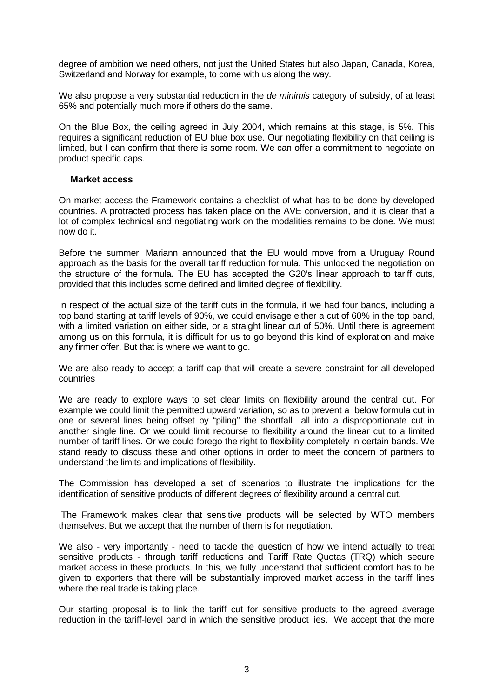degree of ambition we need others, not just the United States but also Japan, Canada, Korea, Switzerland and Norway for example, to come with us along the way.

We also propose a very substantial reduction in the *de minimis* category of subsidy, of at least 65% and potentially much more if others do the same.

On the Blue Box, the ceiling agreed in July 2004, which remains at this stage, is 5%. This requires a significant reduction of EU blue box use. Our negotiating flexibility on that ceiling is limited, but I can confirm that there is some room. We can offer a commitment to negotiate on product specific caps.

#### **Market access**

On market access the Framework contains a checklist of what has to be done by developed countries. A protracted process has taken place on the AVE conversion, and it is clear that a lot of complex technical and negotiating work on the modalities remains to be done. We must now do it.

Before the summer, Mariann announced that the EU would move from a Uruguay Round approach as the basis for the overall tariff reduction formula. This unlocked the negotiation on the structure of the formula. The EU has accepted the G20's linear approach to tariff cuts, provided that this includes some defined and limited degree of flexibility.

In respect of the actual size of the tariff cuts in the formula, if we had four bands, including a top band starting at tariff levels of 90%, we could envisage either a cut of 60% in the top band, with a limited variation on either side, or a straight linear cut of 50%. Until there is agreement among us on this formula, it is difficult for us to go beyond this kind of exploration and make any firmer offer. But that is where we want to go.

We are also ready to accept a tariff cap that will create a severe constraint for all developed countries

We are ready to explore ways to set clear limits on flexibility around the central cut. For example we could limit the permitted upward variation, so as to prevent a below formula cut in one or several lines being offset by "piling" the shortfall all into a disproportionate cut in another single line. Or we could limit recourse to flexibility around the linear cut to a limited number of tariff lines. Or we could forego the right to flexibility completely in certain bands. We stand ready to discuss these and other options in order to meet the concern of partners to understand the limits and implications of flexibility.

The Commission has developed a set of scenarios to illustrate the implications for the identification of sensitive products of different degrees of flexibility around a central cut.

 The Framework makes clear that sensitive products will be selected by WTO members themselves. But we accept that the number of them is for negotiation.

We also - very importantly - need to tackle the question of how we intend actually to treat sensitive products - through tariff reductions and Tariff Rate Quotas (TRQ) which secure market access in these products. In this, we fully understand that sufficient comfort has to be given to exporters that there will be substantially improved market access in the tariff lines where the real trade is taking place.

Our starting proposal is to link the tariff cut for sensitive products to the agreed average reduction in the tariff-level band in which the sensitive product lies. We accept that the more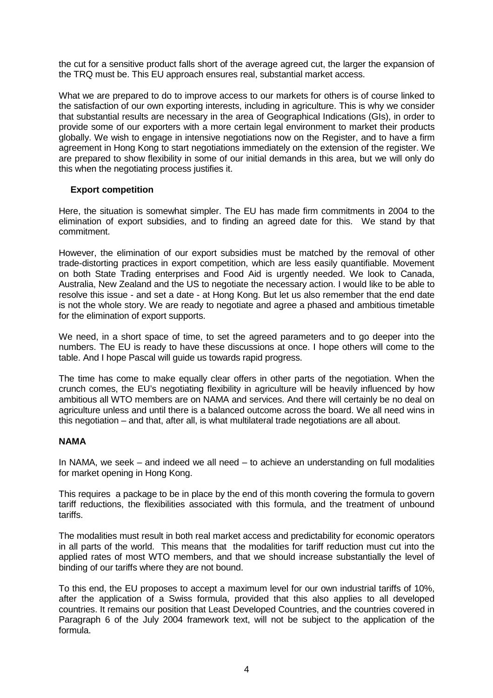the cut for a sensitive product falls short of the average agreed cut, the larger the expansion of the TRQ must be. This EU approach ensures real, substantial market access.

What we are prepared to do to improve access to our markets for others is of course linked to the satisfaction of our own exporting interests, including in agriculture. This is why we consider that substantial results are necessary in the area of Geographical Indications (GIs), in order to provide some of our exporters with a more certain legal environment to market their products globally. We wish to engage in intensive negotiations now on the Register, and to have a firm agreement in Hong Kong to start negotiations immediately on the extension of the register. We are prepared to show flexibility in some of our initial demands in this area, but we will only do this when the negotiating process justifies it.

# **Export competition**

Here, the situation is somewhat simpler. The EU has made firm commitments in 2004 to the elimination of export subsidies, and to finding an agreed date for this. We stand by that commitment.

However, the elimination of our export subsidies must be matched by the removal of other trade-distorting practices in export competition, which are less easily quantifiable. Movement on both State Trading enterprises and Food Aid is urgently needed. We look to Canada, Australia, New Zealand and the US to negotiate the necessary action. I would like to be able to resolve this issue - and set a date - at Hong Kong. But let us also remember that the end date is not the whole story. We are ready to negotiate and agree a phased and ambitious timetable for the elimination of export supports.

We need, in a short space of time, to set the agreed parameters and to go deeper into the numbers. The EU is ready to have these discussions at once. I hope others will come to the table. And I hope Pascal will guide us towards rapid progress.

The time has come to make equally clear offers in other parts of the negotiation. When the crunch comes, the EU's negotiating flexibility in agriculture will be heavily influenced by how ambitious all WTO members are on NAMA and services. And there will certainly be no deal on agriculture unless and until there is a balanced outcome across the board. We all need wins in this negotiation – and that, after all, is what multilateral trade negotiations are all about.

# **NAMA**

In NAMA, we seek – and indeed we all need – to achieve an understanding on full modalities for market opening in Hong Kong.

This requires a package to be in place by the end of this month covering the formula to govern tariff reductions, the flexibilities associated with this formula, and the treatment of unbound tariffs.

The modalities must result in both real market access and predictability for economic operators in all parts of the world. This means that the modalities for tariff reduction must cut into the applied rates of most WTO members, and that we should increase substantially the level of binding of our tariffs where they are not bound.

To this end, the EU proposes to accept a maximum level for our own industrial tariffs of 10%, after the application of a Swiss formula, provided that this also applies to all developed countries. It remains our position that Least Developed Countries, and the countries covered in Paragraph 6 of the July 2004 framework text, will not be subject to the application of the formula.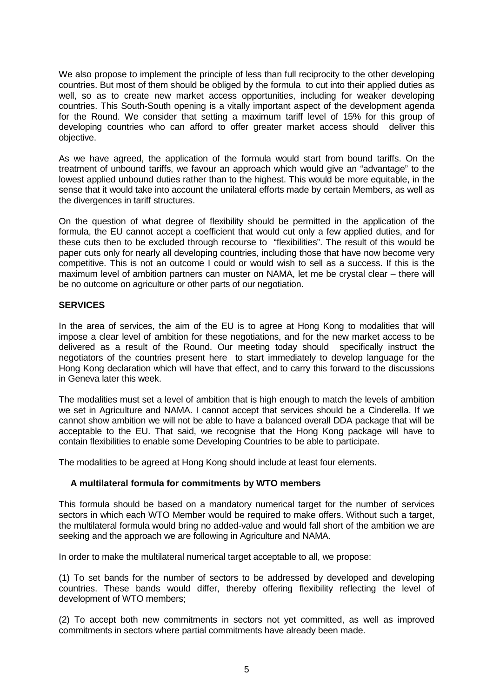We also propose to implement the principle of less than full reciprocity to the other developing countries. But most of them should be obliged by the formula to cut into their applied duties as well, so as to create new market access opportunities, including for weaker developing countries. This South-South opening is a vitally important aspect of the development agenda for the Round. We consider that setting a maximum tariff level of 15% for this group of developing countries who can afford to offer greater market access should deliver this objective.

As we have agreed, the application of the formula would start from bound tariffs. On the treatment of unbound tariffs, we favour an approach which would give an "advantage" to the lowest applied unbound duties rather than to the highest. This would be more equitable, in the sense that it would take into account the unilateral efforts made by certain Members, as well as the divergences in tariff structures.

On the question of what degree of flexibility should be permitted in the application of the formula, the EU cannot accept a coefficient that would cut only a few applied duties, and for these cuts then to be excluded through recourse to "flexibilities". The result of this would be paper cuts only for nearly all developing countries, including those that have now become very competitive. This is not an outcome I could or would wish to sell as a success. If this is the maximum level of ambition partners can muster on NAMA, let me be crystal clear – there will be no outcome on agriculture or other parts of our negotiation.

# **SERVICES**

In the area of services, the aim of the EU is to agree at Hong Kong to modalities that will impose a clear level of ambition for these negotiations, and for the new market access to be delivered as a result of the Round. Our meeting today should specifically instruct the negotiators of the countries present here to start immediately to develop language for the Hong Kong declaration which will have that effect, and to carry this forward to the discussions in Geneva later this week.

The modalities must set a level of ambition that is high enough to match the levels of ambition we set in Agriculture and NAMA. I cannot accept that services should be a Cinderella. If we cannot show ambition we will not be able to have a balanced overall DDA package that will be acceptable to the EU. That said, we recognise that the Hong Kong package will have to contain flexibilities to enable some Developing Countries to be able to participate.

The modalities to be agreed at Hong Kong should include at least four elements.

# **A multilateral formula for commitments by WTO members**

This formula should be based on a mandatory numerical target for the number of services sectors in which each WTO Member would be required to make offers. Without such a target, the multilateral formula would bring no added-value and would fall short of the ambition we are seeking and the approach we are following in Agriculture and NAMA.

In order to make the multilateral numerical target acceptable to all, we propose:

(1) To set bands for the number of sectors to be addressed by developed and developing countries. These bands would differ, thereby offering flexibility reflecting the level of development of WTO members;

(2) To accept both new commitments in sectors not yet committed, as well as improved commitments in sectors where partial commitments have already been made.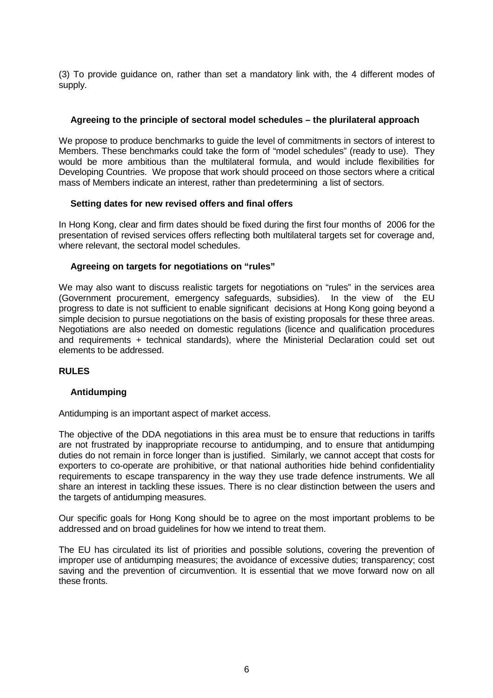(3) To provide guidance on, rather than set a mandatory link with, the 4 different modes of supply.

# **Agreeing to the principle of sectoral model schedules – the plurilateral approach**

We propose to produce benchmarks to guide the level of commitments in sectors of interest to Members. These benchmarks could take the form of "model schedules" (ready to use). They would be more ambitious than the multilateral formula, and would include flexibilities for Developing Countries. We propose that work should proceed on those sectors where a critical mass of Members indicate an interest, rather than predetermining a list of sectors.

#### **Setting dates for new revised offers and final offers**

In Hong Kong, clear and firm dates should be fixed during the first four months of 2006 for the presentation of revised services offers reflecting both multilateral targets set for coverage and, where relevant, the sectoral model schedules.

#### **Agreeing on targets for negotiations on "rules"**

We may also want to discuss realistic targets for negotiations on "rules" in the services area (Government procurement, emergency safeguards, subsidies). In the view of the EU progress to date is not sufficient to enable significant decisions at Hong Kong going beyond a simple decision to pursue negotiations on the basis of existing proposals for these three areas. Negotiations are also needed on domestic regulations (licence and qualification procedures and requirements + technical standards), where the Ministerial Declaration could set out elements to be addressed.

#### **RULES**

#### **Antidumping**

Antidumping is an important aspect of market access.

The objective of the DDA negotiations in this area must be to ensure that reductions in tariffs are not frustrated by inappropriate recourse to antidumping, and to ensure that antidumping duties do not remain in force longer than is justified. Similarly, we cannot accept that costs for exporters to co-operate are prohibitive, or that national authorities hide behind confidentiality requirements to escape transparency in the way they use trade defence instruments. We all share an interest in tackling these issues. There is no clear distinction between the users and the targets of antidumping measures.

Our specific goals for Hong Kong should be to agree on the most important problems to be addressed and on broad guidelines for how we intend to treat them.

The EU has circulated its list of priorities and possible solutions, covering the prevention of improper use of antidumping measures; the avoidance of excessive duties; transparency; cost saving and the prevention of circumvention. It is essential that we move forward now on all these fronts.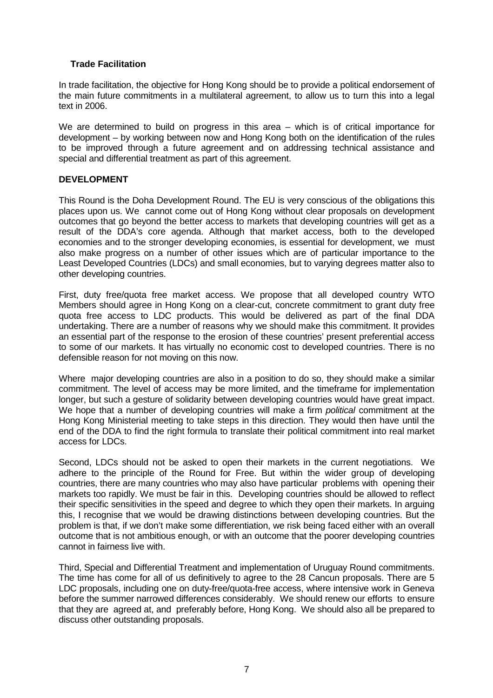# **Trade Facilitation**

In trade facilitation, the objective for Hong Kong should be to provide a political endorsement of the main future commitments in a multilateral agreement, to allow us to turn this into a legal text in 2006.

We are determined to build on progress in this area – which is of critical importance for development – by working between now and Hong Kong both on the identification of the rules to be improved through a future agreement and on addressing technical assistance and special and differential treatment as part of this agreement.

# **DEVELOPMENT**

This Round is the Doha Development Round. The EU is very conscious of the obligations this places upon us. We cannot come out of Hong Kong without clear proposals on development outcomes that go beyond the better access to markets that developing countries will get as a result of the DDA's core agenda. Although that market access, both to the developed economies and to the stronger developing economies, is essential for development, we must also make progress on a number of other issues which are of particular importance to the Least Developed Countries (LDCs) and small economies, but to varying degrees matter also to other developing countries.

First, duty free/quota free market access. We propose that all developed country WTO Members should agree in Hong Kong on a clear-cut, concrete commitment to grant duty free quota free access to LDC products. This would be delivered as part of the final DDA undertaking. There are a number of reasons why we should make this commitment. It provides an essential part of the response to the erosion of these countries' present preferential access to some of our markets. It has virtually no economic cost to developed countries. There is no defensible reason for not moving on this now.

Where major developing countries are also in a position to do so, they should make a similar commitment. The level of access may be more limited, and the timeframe for implementation longer, but such a gesture of solidarity between developing countries would have great impact. We hope that a number of developing countries will make a firm *political* commitment at the Hong Kong Ministerial meeting to take steps in this direction. They would then have until the end of the DDA to find the right formula to translate their political commitment into real market access for LDCs.

Second, LDCs should not be asked to open their markets in the current negotiations. We adhere to the principle of the Round for Free. But within the wider group of developing countries, there are many countries who may also have particular problems with opening their markets too rapidly. We must be fair in this. Developing countries should be allowed to reflect their specific sensitivities in the speed and degree to which they open their markets. In arguing this, I recognise that we would be drawing distinctions between developing countries. But the problem is that, if we don't make some differentiation, we risk being faced either with an overall outcome that is not ambitious enough, or with an outcome that the poorer developing countries cannot in fairness live with.

Third, Special and Differential Treatment and implementation of Uruguay Round commitments. The time has come for all of us definitively to agree to the 28 Cancun proposals. There are 5 LDC proposals, including one on duty-free/quota-free access, where intensive work in Geneva before the summer narrowed differences considerably. We should renew our efforts to ensure that they are agreed at, and preferably before, Hong Kong. We should also all be prepared to discuss other outstanding proposals.